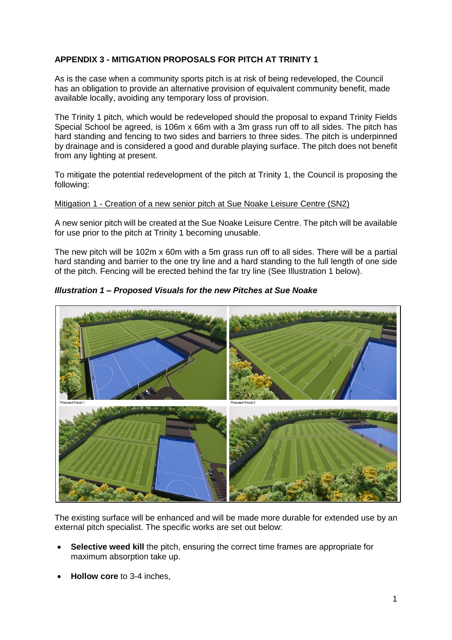# **APPENDIX 3 - MITIGATION PROPOSALS FOR PITCH AT TRINITY 1**

As is the case when a community sports pitch is at risk of being redeveloped, the Council has an obligation to provide an alternative provision of equivalent community benefit, made available locally, avoiding any temporary loss of provision.

The Trinity 1 pitch, which would be redeveloped should the proposal to expand Trinity Fields Special School be agreed, is 106m x 66m with a 3m grass run off to all sides. The pitch has hard standing and fencing to two sides and barriers to three sides. The pitch is underpinned by drainage and is considered a good and durable playing surface. The pitch does not benefit from any lighting at present.

To mitigate the potential redevelopment of the pitch at Trinity 1, the Council is proposing the following:

#### Mitigation 1 - Creation of a new senior pitch at Sue Noake Leisure Centre (SN2)

A new senior pitch will be created at the Sue Noake Leisure Centre. The pitch will be available for use prior to the pitch at Trinity 1 becoming unusable.

The new pitch will be 102m x 60m with a 5m grass run off to all sides. There will be a partial hard standing and barrier to the one try line and a hard standing to the full length of one side of the pitch. Fencing will be erected behind the far try line (See Illustration 1 below).

*Illustration 1 – Proposed Visuals for the new Pitches at Sue Noake*



The existing surface will be enhanced and will be made more durable for extended use by an external pitch specialist. The specific works are set out below:

- **Selective weed kill** the pitch, ensuring the correct time frames are appropriate for maximum absorption take up.
- **Hollow core** to 3-4 inches,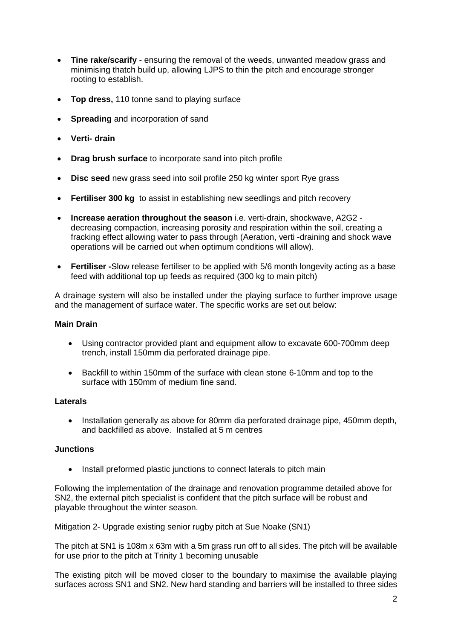- **Tine rake/scarify** ensuring the removal of the weeds, unwanted meadow grass and minimising thatch build up, allowing LJPS to thin the pitch and encourage stronger rooting to establish.
- **Top dress,** 110 tonne sand to playing surface
- **Spreading** and incorporation of sand
- **Verti- drain**
- **Drag brush surface** to incorporate sand into pitch profile
- **Disc seed** new grass seed into soil profile 250 kg winter sport Rye grass
- **Fertiliser 300 kg** to assist in establishing new seedlings and pitch recovery
- **Increase aeration throughout the season** i.e. verti-drain, shockwave, A2G2 decreasing compaction, increasing porosity and respiration within the soil, creating a fracking effect allowing water to pass through (Aeration, verti -draining and shock wave operations will be carried out when optimum conditions will allow).
- **Fertiliser -**Slow release fertiliser to be applied with 5/6 month longevity acting as a base feed with additional top up feeds as required (300 kg to main pitch)

A drainage system will also be installed under the playing surface to further improve usage and the management of surface water. The specific works are set out below:

### **Main Drain**

- Using contractor provided plant and equipment allow to excavate 600-700mm deep trench, install 150mm dia perforated drainage pipe.
- Backfill to within 150mm of the surface with clean stone 6-10mm and top to the surface with 150mm of medium fine sand.

### **Laterals**

• Installation generally as above for 80mm dia perforated drainage pipe, 450mm depth, and backfilled as above. Installed at 5 m centres

### **Junctions**

• Install preformed plastic junctions to connect laterals to pitch main

Following the implementation of the drainage and renovation programme detailed above for SN2, the external pitch specialist is confident that the pitch surface will be robust and playable throughout the winter season.

### Mitigation 2- Upgrade existing senior rugby pitch at Sue Noake (SN1)

The pitch at SN1 is 108m x 63m with a 5m grass run off to all sides. The pitch will be available for use prior to the pitch at Trinity 1 becoming unusable

The existing pitch will be moved closer to the boundary to maximise the available playing surfaces across SN1 and SN2. New hard standing and barriers will be installed to three sides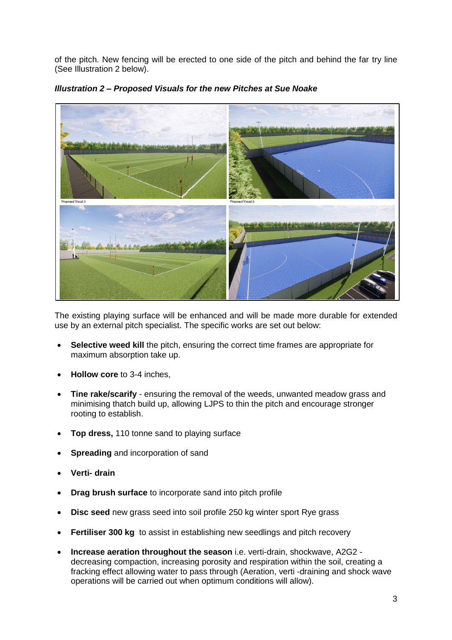of the pitch. New fencing will be erected to one side of the pitch and behind the far try line (See Illustration 2 below).



*Illustration 2 – Proposed Visuals for the new Pitches at Sue Noake*

The existing playing surface will be enhanced and will be made more durable for extended use by an external pitch specialist. The specific works are set out below:

- **Selective weed kill** the pitch, ensuring the correct time frames are appropriate for maximum absorption take up.
- **Hollow core** to 3-4 inches,
- **Tine rake/scarify** ensuring the removal of the weeds, unwanted meadow grass and minimising thatch build up, allowing LJPS to thin the pitch and encourage stronger rooting to establish.
- **Top dress,** 110 tonne sand to playing surface
- **Spreading** and incorporation of sand
- **Verti- drain**
- **Drag brush surface** to incorporate sand into pitch profile
- **Disc seed** new grass seed into soil profile 250 kg winter sport Rye grass
- **Fertiliser 300 kg** to assist in establishing new seedlings and pitch recovery
- **Increase aeration throughout the season** i.e. verti-drain, shockwave, A2G2 decreasing compaction, increasing porosity and respiration within the soil, creating a fracking effect allowing water to pass through (Aeration, verti -draining and shock wave operations will be carried out when optimum conditions will allow).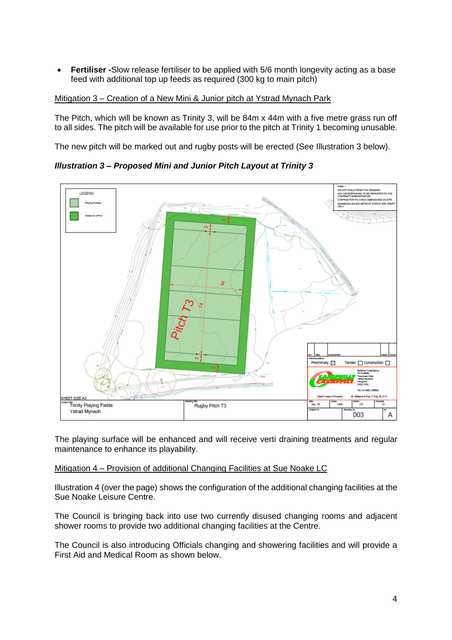**Fertiliser -**Slow release fertiliser to be applied with 5/6 month longevity acting as a base feed with additional top up feeds as required (300 kg to main pitch)

### Mitigation 3 – Creation of a New Mini & Junior pitch at Ystrad Mynach Park

The Pitch, which will be known as Trinity 3, will be 84m x 44m with a five metre grass run off to all sides. The pitch will be available for use prior to the pitch at Trinity 1 becoming unusable.

The new pitch will be marked out and rugby posts will be erected (See Illustration 3 below).

**LEGEND** ø Tender | Construction | 2. <del>s</del><br>Trinity Plaving Fields ...<br>Rugby Pitch T3 n<br>CP

*Illustration 3 – Proposed Mini and Junior Pitch Layout at Trinity 3*

The playing surface will be enhanced and will receive verti draining treatments and regular maintenance to enhance its playability.

### Mitigation 4 – Provision of additional Changing Facilities at Sue Noake LC

Ystrad Mynach

Illustration 4 (over the page) shows the configuration of the additional changing facilities at the Sue Noake Leisure Centre.

The Council is bringing back into use two currently disused changing rooms and adjacent shower rooms to provide two additional changing facilities at the Centre.

The Council is also introducing Officials changing and showering facilities and will provide a First Aid and Medical Room as shown below.

 $003$ 

A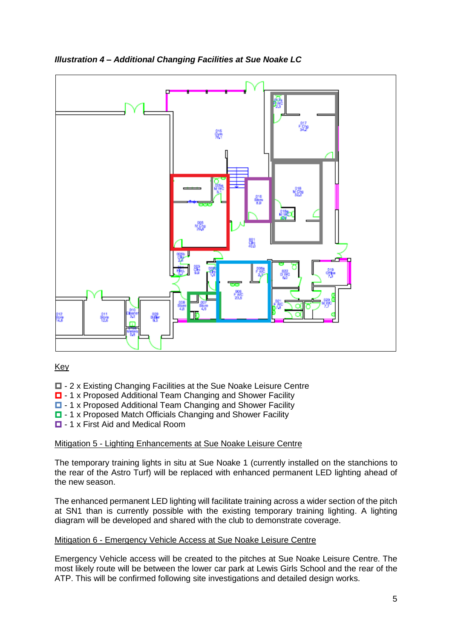

## *Illustration 4 – Additional Changing Facilities at Sue Noake LC*

# Key

- $\Box$  2 x Existing Changing Facilities at the Sue Noake Leisure Centre
- **D** 1 x Proposed Additional Team Changing and Shower Facility
- $\Box$  1 x Proposed Additional Team Changing and Shower Facility
- $\Box$  1 x Proposed Match Officials Changing and Shower Facility
- $\Box$  1 x First Aid and Medical Room

### Mitigation 5 - Lighting Enhancements at Sue Noake Leisure Centre

The temporary training lights in situ at Sue Noake 1 (currently installed on the stanchions to the rear of the Astro Turf) will be replaced with enhanced permanent LED lighting ahead of the new season.

The enhanced permanent LED lighting will facilitate training across a wider section of the pitch at SN1 than is currently possible with the existing temporary training lighting. A lighting diagram will be developed and shared with the club to demonstrate coverage.

### Mitigation 6 - Emergency Vehicle Access at Sue Noake Leisure Centre

Emergency Vehicle access will be created to the pitches at Sue Noake Leisure Centre. The most likely route will be between the lower car park at Lewis Girls School and the rear of the ATP. This will be confirmed following site investigations and detailed design works.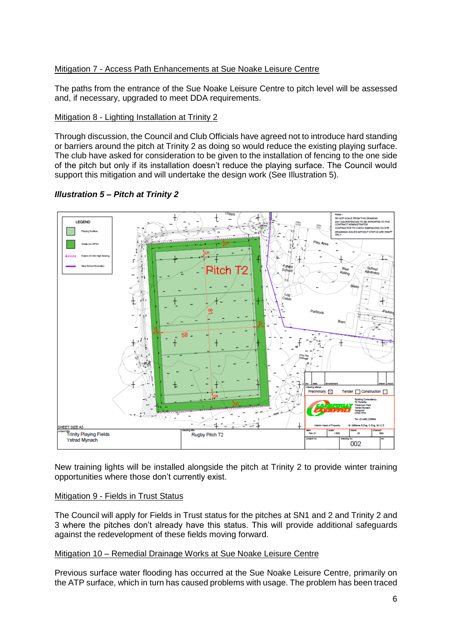# Mitigation 7 - Access Path Enhancements at Sue Noake Leisure Centre

The paths from the entrance of the Sue Noake Leisure Centre to pitch level will be assessed and, if necessary, upgraded to meet DDA requirements.

## Mitigation 8 - Lighting Installation at Trinity 2

Through discussion, the Council and Club Officials have agreed not to introduce hard standing or barriers around the pitch at Trinity 2 as doing so would reduce the existing playing surface. The club have asked for consideration to be given to the installation of fencing to the one side of the pitch but only if its installation doesn't reduce the playing surface. The Council would support this mitigation and will undertake the design work (See Illustration 5).



### *Illustration 5 – Pitch at Trinity 2*

New training lights will be installed alongside the pitch at Trinity 2 to provide winter training opportunities where those don't currently exist.

### Mitigation 9 - Fields in Trust Status

The Council will apply for Fields in Trust status for the pitches at SN1 and 2 and Trinity 2 and 3 where the pitches don't already have this status. This will provide additional safeguards against the redevelopment of these fields moving forward.

### Mitigation 10 – Remedial Drainage Works at Sue Noake Leisure Centre

Previous surface water flooding has occurred at the Sue Noake Leisure Centre, primarily on the ATP surface, which in turn has caused problems with usage. The problem has been traced